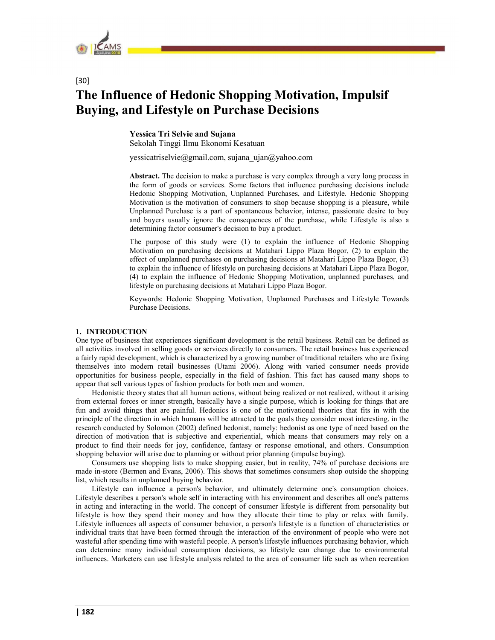

# [30] The Influence of Hedonic Shopping Motivation, Impulsif Buying, and Lifestyle on Purchase Decisions

Yessica Tri Selvie and Sujana Sekolah Tinggi Ilmu Ekonomi Kesatuan

yessicatriselvie@gmail.com, sujana\_ujan@yahoo.com

Abstract. The decision to make a purchase is very complex through a very long process in the form of goods or services. Some factors that influence purchasing decisions include Hedonic Shopping Motivation, Unplanned Purchases, and Lifestyle. Hedonic Shopping Motivation is the motivation of consumers to shop because shopping is a pleasure, while Unplanned Purchase is a part of spontaneous behavior, intense, passionate desire to buy and buyers usually ignore the consequences of the purchase, while Lifestyle is also a determining factor consumer's decision to buy a product.

The purpose of this study were (1) to explain the influence of Hedonic Shopping Motivation on purchasing decisions at Matahari Lippo Plaza Bogor, (2) to explain the effect of unplanned purchases on purchasing decisions at Matahari Lippo Plaza Bogor, (3) to explain the influence of lifestyle on purchasing decisions at Matahari Lippo Plaza Bogor, (4) to explain the influence of Hedonic Shopping Motivation, unplanned purchases, and lifestyle on purchasing decisions at Matahari Lippo Plaza Bogor.

Keywords: Hedonic Shopping Motivation, Unplanned Purchases and Lifestyle Towards Purchase Decisions.

# 1. INTRODUCTION

One type of business that experiences significant development is the retail business. Retail can be defined as all activities involved in selling goods or services directly to consumers. The retail business has experienced a fairly rapid development, which is characterized by a growing number of traditional retailers who are fixing themselves into modern retail businesses (Utami 2006). Along with varied consumer needs provide opportunities for business people, especially in the field of fashion. This fact has caused many shops to appear that sell various types of fashion products for both men and women.

Hedonistic theory states that all human actions, without being realized or not realized, without it arising from external forces or inner strength, basically have a single purpose, which is looking for things that are fun and avoid things that are painful. Hedonics is one of the motivational theories that fits in with the principle of the direction in which humans will be attracted to the goals they consider most interesting. in the research conducted by Solomon (2002) defined hedonist, namely: hedonist as one type of need based on the direction of motivation that is subjective and experiential, which means that consumers may rely on a product to find their needs for joy, confidence, fantasy or response emotional, and others. Consumption shopping behavior will arise due to planning or without prior planning (impulse buying).

Consumers use shopping lists to make shopping easier, but in reality, 74% of purchase decisions are made in-store (Bermen and Evans, 2006). This shows that sometimes consumers shop outside the shopping list, which results in unplanned buying behavior.

Lifestyle can influence a person's behavior, and ultimately determine one's consumption choices. Lifestyle describes a person's whole self in interacting with his environment and describes all one's patterns in acting and interacting in the world. The concept of consumer lifestyle is different from personality but lifestyle is how they spend their money and how they allocate their time to play or relax with family. Lifestyle influences all aspects of consumer behavior, a person's lifestyle is a function of characteristics or individual traits that have been formed through the interaction of the environment of people who were not wasteful after spending time with wasteful people. A person's lifestyle influences purchasing behavior, which can determine many individual consumption decisions, so lifestyle can change due to environmental influences. Marketers can use lifestyle analysis related to the area of consumer life such as when recreation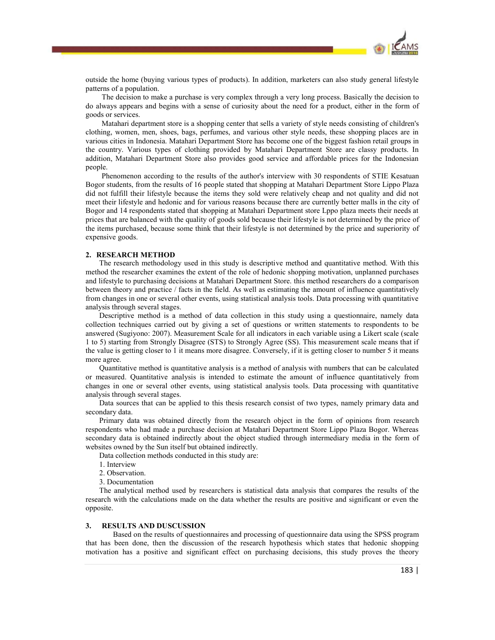

outside the home (buying various types of products). In addition, marketers can also study general lifestyle patterns of a population.

The decision to make a purchase is very complex through a very long process. Basically the decision to do always appears and begins with a sense of curiosity about the need for a product, either in the form of goods or services.

Matahari department store is a shopping center that sells a variety of style needs consisting of children's clothing, women, men, shoes, bags, perfumes, and various other style needs, these shopping places are in various cities in Indonesia. Matahari Department Store has become one of the biggest fashion retail groups in the country. Various types of clothing provided by Matahari Department Store are classy products. In addition, Matahari Department Store also provides good service and affordable prices for the Indonesian people.

Phenomenon according to the results of the author's interview with 30 respondents of STIE Kesatuan Bogor students, from the results of 16 people stated that shopping at Matahari Department Store Lippo Plaza did not fulfill their lifestyle because the items they sold were relatively cheap and not quality and did not meet their lifestyle and hedonic and for various reasons because there are currently better malls in the city of Bogor and 14 respondents stated that shopping at Matahari Department store Lppo plaza meets their needs at prices that are balanced with the quality of goods sold because their lifestyle is not determined by the price of the items purchased, because some think that their lifestyle is not determined by the price and superiority of expensive goods.

#### 2. RESEARCH METHOD

The research methodology used in this study is descriptive method and quantitative method. With this method the researcher examines the extent of the role of hedonic shopping motivation, unplanned purchases and lifestyle to purchasing decisions at Matahari Department Store. this method researchers do a comparison between theory and practice / facts in the field. As well as estimating the amount of influence quantitatively from changes in one or several other events, using statistical analysis tools. Data processing with quantitative analysis through several stages.

Descriptive method is a method of data collection in this study using a questionnaire, namely data collection techniques carried out by giving a set of questions or written statements to respondents to be answered (Sugiyono: 2007). Measurement Scale for all indicators in each variable using a Likert scale (scale 1 to 5) starting from Strongly Disagree (STS) to Strongly Agree (SS). This measurement scale means that if the value is getting closer to 1 it means more disagree. Conversely, if it is getting closer to number 5 it means more agree.

Quantitative method is quantitative analysis is a method of analysis with numbers that can be calculated or measured. Quantitative analysis is intended to estimate the amount of influence quantitatively from changes in one or several other events, using statistical analysis tools. Data processing with quantitative analysis through several stages.

Data sources that can be applied to this thesis research consist of two types, namely primary data and secondary data.

Primary data was obtained directly from the research object in the form of opinions from research respondents who had made a purchase decision at Matahari Department Store Lippo Plaza Bogor. Whereas secondary data is obtained indirectly about the object studied through intermediary media in the form of websites owned by the Sun itself but obtained indirectly.

Data collection methods conducted in this study are:

1. Interview

2. Observation.

3. Documentation

The analytical method used by researchers is statistical data analysis that compares the results of the research with the calculations made on the data whether the results are positive and significant or even the opposite.

#### 3. RESULTS AND DUSCUSSION

Based on the results of questionnaires and processing of questionnaire data using the SPSS program that has been done, then the discussion of the research hypothesis which states that hedonic shopping motivation has a positive and significant effect on purchasing decisions, this study proves the theory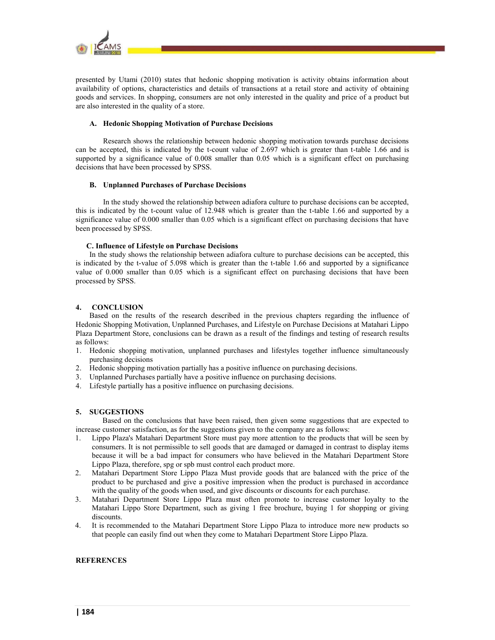

presented by Utami (2010) states that hedonic shopping motivation is activity obtains information about availability of options, characteristics and details of transactions at a retail store and activity of obtaining goods and services. In shopping, consumers are not only interested in the quality and price of a product but are also interested in the quality of a store.

## A. Hedonic Shopping Motivation of Purchase Decisions

Research shows the relationship between hedonic shopping motivation towards purchase decisions can be accepted, this is indicated by the t-count value of 2.697 which is greater than t-table 1.66 and is supported by a significance value of 0.008 smaller than 0.05 which is a significant effect on purchasing decisions that have been processed by SPSS.

## B. Unplanned Purchases of Purchase Decisions

In the study showed the relationship between adiafora culture to purchase decisions can be accepted, this is indicated by the t-count value of 12.948 which is greater than the t-table 1.66 and supported by a significance value of 0.000 smaller than 0.05 which is a significant effect on purchasing decisions that have been processed by SPSS.

## C. Influence of Lifestyle on Purchase Decisions

In the study shows the relationship between adiafora culture to purchase decisions can be accepted, this is indicated by the t-value of 5.098 which is greater than the t-table 1.66 and supported by a significance value of 0.000 smaller than 0.05 which is a significant effect on purchasing decisions that have been processed by SPSS.

# 4. CONCLUSION

Based on the results of the research described in the previous chapters regarding the influence of Hedonic Shopping Motivation, Unplanned Purchases, and Lifestyle on Purchase Decisions at Matahari Lippo Plaza Department Store, conclusions can be drawn as a result of the findings and testing of research results as follows:

- 1. Hedonic shopping motivation, unplanned purchases and lifestyles together influence simultaneously purchasing decisions
- 2. Hedonic shopping motivation partially has a positive influence on purchasing decisions.
- 3. Unplanned Purchases partially have a positive influence on purchasing decisions.
- 4. Lifestyle partially has a positive influence on purchasing decisions.

# 5. SUGGESTIONS

Based on the conclusions that have been raised, then given some suggestions that are expected to increase customer satisfaction, as for the suggestions given to the company are as follows:

- 1. Lippo Plaza's Matahari Department Store must pay more attention to the products that will be seen by consumers. It is not permissible to sell goods that are damaged or damaged in contrast to display items because it will be a bad impact for consumers who have believed in the Matahari Department Store Lippo Plaza, therefore, spg or spb must control each product more.
- 2. Matahari Department Store Lippo Plaza Must provide goods that are balanced with the price of the product to be purchased and give a positive impression when the product is purchased in accordance with the quality of the goods when used, and give discounts or discounts for each purchase.
- 3. Matahari Department Store Lippo Plaza must often promote to increase customer loyalty to the Matahari Lippo Store Department, such as giving 1 free brochure, buying 1 for shopping or giving discounts.
- 4. It is recommended to the Matahari Department Store Lippo Plaza to introduce more new products so that people can easily find out when they come to Matahari Department Store Lippo Plaza.

# **REFERENCES**